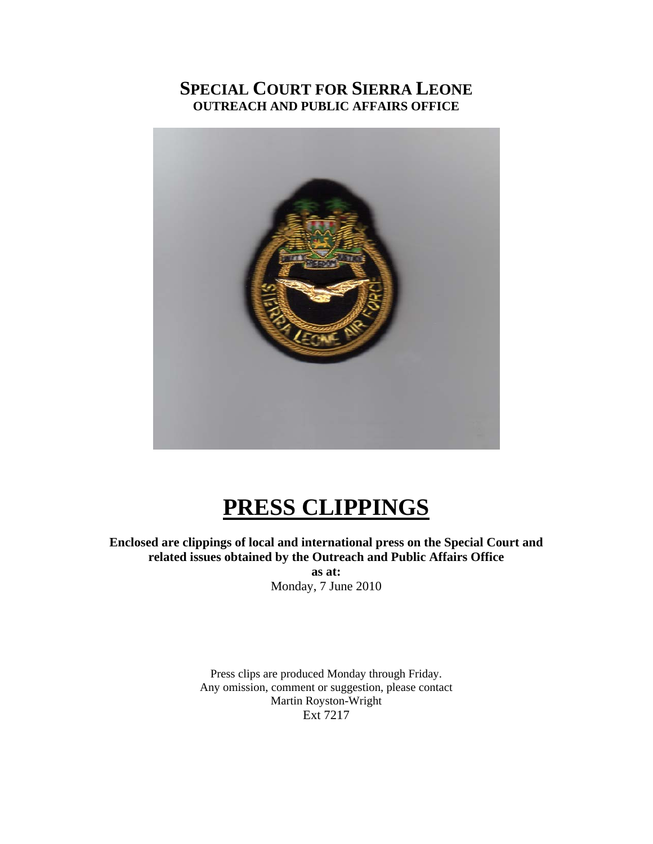### **SPECIAL COURT FOR SIERRA LEONE OUTREACH AND PUBLIC AFFAIRS OFFICE**



# **PRESS CLIPPINGS**

**Enclosed are clippings of local and international press on the Special Court and related issues obtained by the Outreach and Public Affairs Office** 

> **as at:**  Monday, 7 June 2010

Press clips are produced Monday through Friday. Any omission, comment or suggestion, please contact Martin Royston-Wright Ext 7217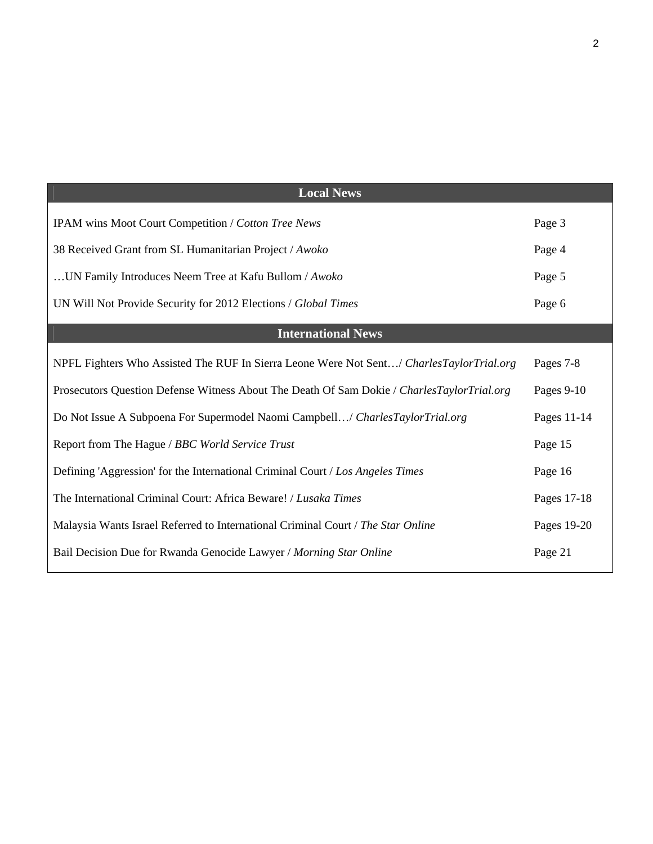| <b>Local News</b>                                                                          |             |
|--------------------------------------------------------------------------------------------|-------------|
| IPAM wins Moot Court Competition / Cotton Tree News                                        | Page 3      |
| 38 Received Grant from SL Humanitarian Project / Awoko                                     | Page 4      |
| UN Family Introduces Neem Tree at Kafu Bullom / Awoko                                      | Page 5      |
| UN Will Not Provide Security for 2012 Elections / Global Times                             | Page 6      |
| <b>International News</b>                                                                  |             |
| NPFL Fighters Who Assisted The RUF In Sierra Leone Were Not Sent/ CharlesTaylorTrial.org   | Pages 7-8   |
| Prosecutors Question Defense Witness About The Death Of Sam Dokie / CharlesTaylorTrial.org | Pages 9-10  |
| Do Not Issue A Subpoena For Supermodel Naomi Campbell/ CharlesTaylorTrial.org              | Pages 11-14 |
| Report from The Hague / BBC World Service Trust                                            | Page 15     |
| Defining 'Aggression' for the International Criminal Court / Los Angeles Times             | Page 16     |
| The International Criminal Court: Africa Beware! / Lusaka Times                            | Pages 17-18 |
| Malaysia Wants Israel Referred to International Criminal Court / The Star Online           | Pages 19-20 |
| Bail Decision Due for Rwanda Genocide Lawyer / Morning Star Online                         | Page 21     |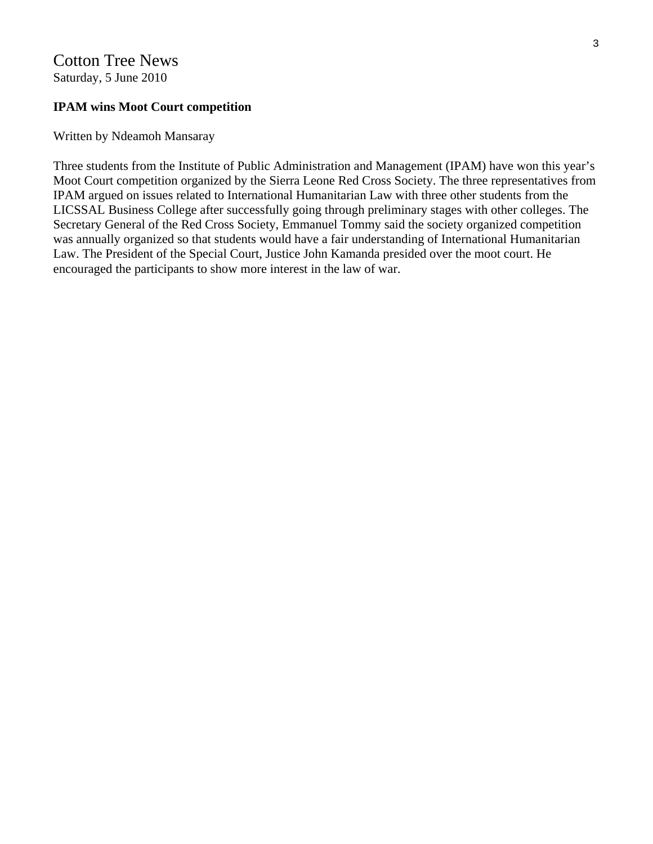### Cotton Tree News Saturday, 5 June 2010

### **IPAM wins Moot Court competition**

Written by Ndeamoh Mansaray

Three students from the Institute of Public Administration and Management (IPAM) have won this year's Moot Court competition organized by the Sierra Leone Red Cross Society. The three representatives from IPAM argued on issues related to International Humanitarian Law with three other students from the LICSSAL Business College after successfully going through preliminary stages with other colleges. The Secretary General of the Red Cross Society, Emmanuel Tommy said the society organized competition was annually organized so that students would have a fair understanding of International Humanitarian Law. The President of the Special Court, Justice John Kamanda presided over the moot court. He encouraged the participants to show more interest in the law of war.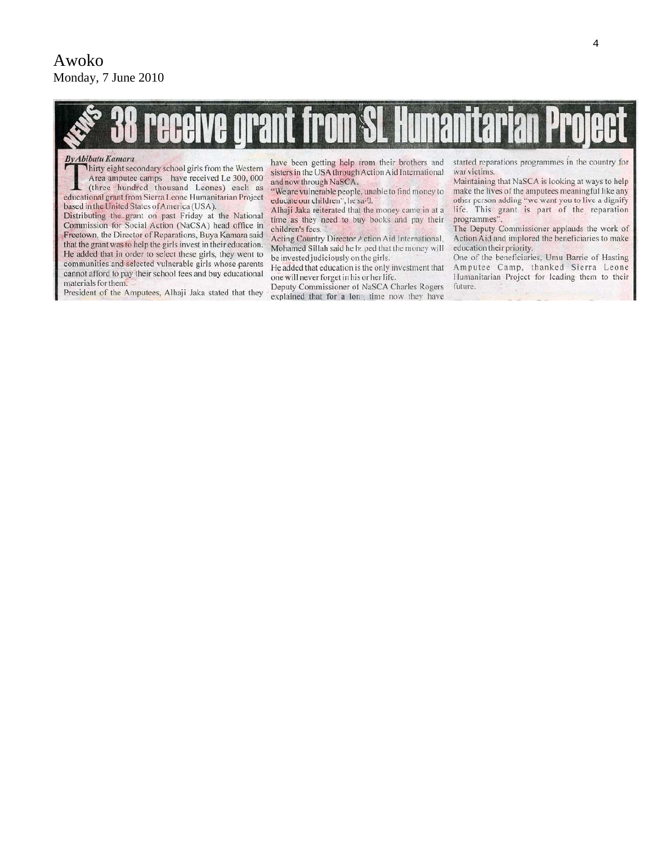

#### **By Abibatu Kamara**

Thirty eight secondary school girls from the Western Area amputee camps have received Le 300, 000 (three hundred thousand Leones) each as educational grant from Sierra Leone Humanitarian Project based in the United States of America (USA).

Distributing the grant on past Friday at the National Commission for Social Action (NaCSA) head office in Freetown, the Director of Reparations, Buya Kamara said that the grant was to help the girls invest in their education. He added that in order to select these girls, they went to communities and selected vulnerable girls whose parents cannot afford to pay their school fees and buy educational materials for them.

President of the Amputees, Alhaji Jaka stated that they

have been getting help irom their brothers and sisters in the USA through Action Aid International and now through NaSCA.

"We are vulnerable people, unable to find money to educate our children", he said.

Alhaji Jaka reiterated that the money came in at a time as they need to buy books and pay their children's fees.

Acting Country Director A ction Aid International, Mohamed Sillah said he httped that the money will be invested judiciously on the girls.

He added that education is the only investment that one will never forget in his or her life.

Deputy Commissioner of NaSCA Charles Rogers explained that for a long time now they have started reparations programmes in the country for war victims.

Maintaining that NaSCA is looking at ways to help make the lives of the amputees meaningful like any other person adding "we want you to live a dignify life. This grant is part of the reparation programmes'

The Deputy Commissioner applauds the work of Action Aid and implored the beneficiaries to make education their priority.

One of the beneficiaries, Umu Barrie of Hasting Amputee Camp, thanked Sierra Leone Humanitarian Project for leading them to their future.

4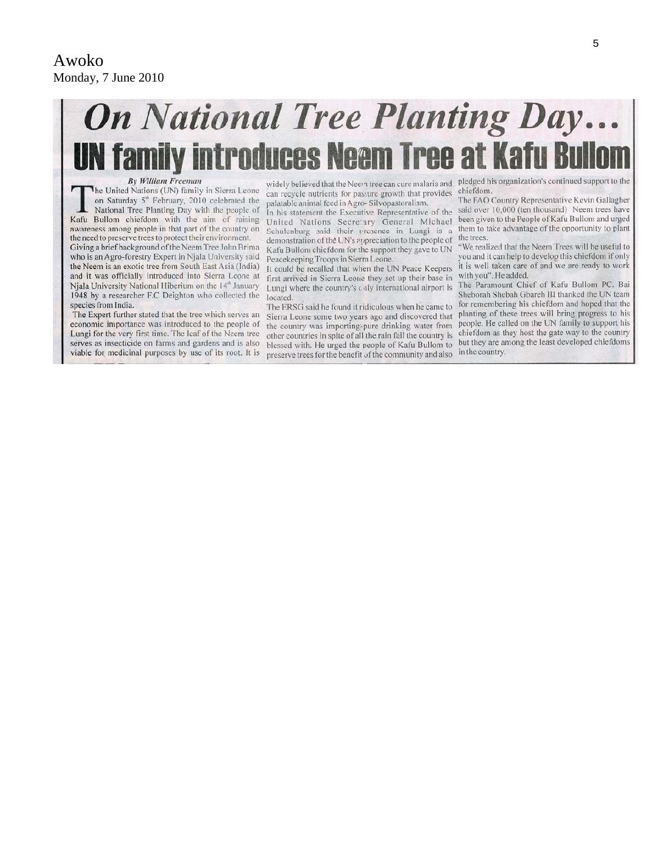# **On National Tree Planting Day... UN family introduces Neem Tree at Kafu**

#### **By William Freeman**

The United Nations (UN) family in Sierra Leone on Saturday 5<sup>th</sup> February, 2010 celebrated the National Tree Planting Day with the people of Kafu Bullom chiefdom with the aim of raising awareness among people in that part of the country on the need to preserve trees to protect their environment.

Giving a brief background of the Neem Tree John Brima who is an Agro-forestry Expert in Njala University said the Neem is an exotic tree from South East Asia (India) and it was officially introduced into Sierra Leone at Niala University National Hiberium on the 14<sup>th</sup> January 1948 by a researcher F.C Deighton who collected the species from India.

The Expert further stated that the tree which serves an economic importance was introduced to the people of Lungi for the very first time. The leaf of the Neem tree serves as insecticide on farms and gardens and is also viable for medicinal purposes by use of its root. It is

can recycle nutrients for passure growth that provides palatable animal feed in Agro-Silvopastoralism.

In his statement the Executive Representative of the United Nations Secretary General Michael Schulenburg said their presence in Lungi is a demonstration of the UN's appreciation to the people of Kafu Bullom chiefdom for the support they gave to UN Peacekeeping Troops in Sierra Leone.

It could be recalled that when the UN Peace Keepers first arrived in Sierra Leone they set up their base in with you". He added. Lungi where the country's caly international airport is located

The ERSG said he found it ridiculous when he came to Sierra Leone some two years ago and discovered that the country was importing pure drinking water from other countries in spite of all the rain fail the country is blessed with. He urged the people of Kafu Bullom to preserve trees for the benefit of the community and also

widely believed that the Neem tree can cure malaria and pledged his organization's continued support to the chiefdom.

> The FAO Country Representative Kevin Gallagher said over 10,000 (ten thousand) Neem trees have been given to the People of Kafu Bullom and urged them to take advantage of the opportunity to plant the trees.

> "We realized that the Neem Trees will be useful to you and it can help to develop this chiefdom if only it is well taken care of and we are ready to work

> The Paramount Chief of Kafu Bullom PC. Bai Sheborah Shebah Gbareh III thanked the UN team for remembering his chiefdom and hoped that the planting of these trees will bring progress to his people. He called on the UN family to support his chiefdom as they host the gate way to the country but they are among the least developed chiefdoms in the country.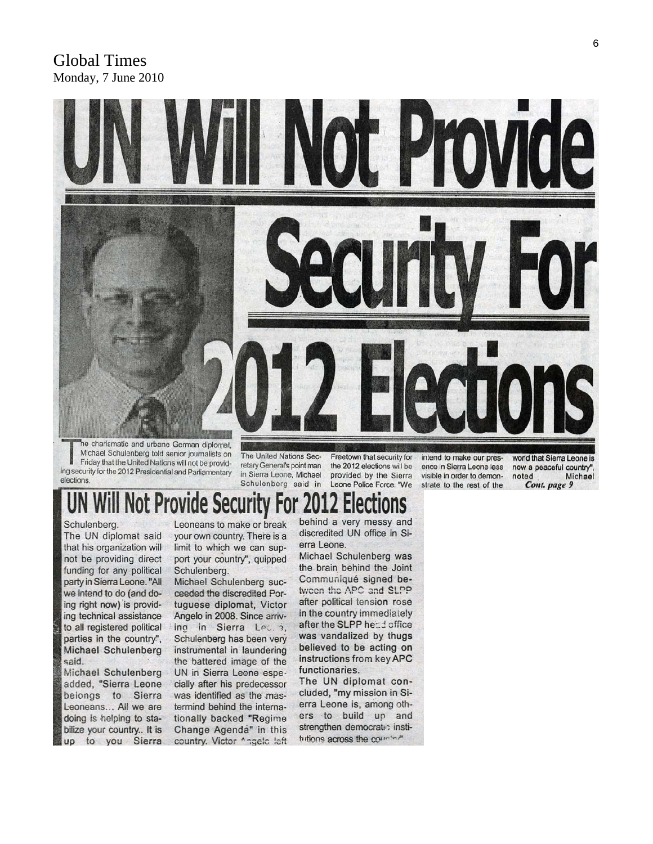### Global Times Monday, 7 June 2010



Michael Schulenberg told senior journalists on Friday that the United Nations will not be providing security for the 2012 Presidential and Parliamentary elections

The United Nations Secretary General's point man in Sierra Leone, Michael Schulenberg said in

Freetown that security for the 2012 elections will be provided by the Sierra Leone Police Force. "We

intend to make our presence in Sierra Leone less visible in order to demonstrate to the rest of the

world that Sierra Leone is now a peaceful country", Michael noted Cont. page 9

### **Il Not Provide Secur** le

Schulenberg.

The UN diplomat said that his organization will not be providing direct funding for any political party in Sierra Leone. "All we intend to do (and doing right now) is providing technical assistance to all registered political parties in the country", Michael Schulenberg said.

Michael Schulenberg added, "Sierra Leone belongs to Sierra Leoneans... All we are doing is helping to stabilize your country.. It is up to you Sierra

Leoneans to make or break your own country. There is a limit to which we can support your country", quipped Schulenberg.

Michael Schulenberg succeeded the discredited Portuguese diplomat, Victor Angelo in 2008. Since arriving in Sierra Lec. 3, Schulenberg has been very instrumental in laundering the battered image of the UN in Sierra Leone especially after his predecessor was identified as the mastermind behind the internationally backed "Regime Change Agenda" in this country. Victor ^ngelc left

behind a very messy and discredited UN office in Sierra Leone.

Michael Schulenberg was the brain behind the Joint Communiqué signed betwoen the APC and SLPP after political tension rose in the country immediately after the SLPP head office was vandalized by thugs believed to be acting on instructions from key APC functionaries.

The UN diplomat concluded, "my mission in Sierra Leone is, among others to build up and strengthen democratic institutions across the coursin?"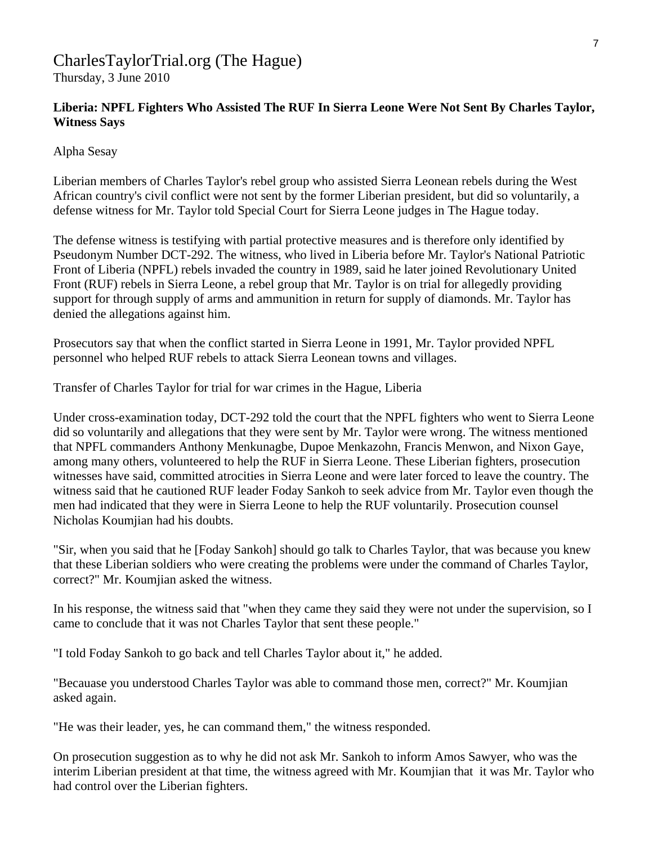### [CharlesTaylorTrial.org](http://www.charlestaylortrial.org/about/) (The Hague)

Thursday, 3 June 2010

### **[Liberia:](http://allafrica.com/liberia/) NPFL Fighters Who Assisted The RUF In Sierra Leone Were Not Sent By Charles Taylor, Witness Says**

Alpha Sesay

Liberian members of Charles Taylor's rebel group who assisted Sierra Leonean rebels during the West African country's civil conflict were not sent by the former Liberian president, but did so voluntarily, a defense witness for Mr. Taylor told Special Court for Sierra Leone judges in The Hague today.

The defense witness is testifying with partial protective measures and is therefore only identified by Pseudonym Number DCT-292. The witness, who lived in Liberia before Mr. Taylor's National Patriotic Front of Liberia (NPFL) rebels invaded the country in 1989, said he later joined Revolutionary United Front (RUF) rebels in Sierra Leone, a rebel group that Mr. Taylor is on trial for allegedly providing support for through supply of arms and ammunition in return for supply of diamonds. Mr. Taylor has denied the allegations against him.

Prosecutors say that when the conflict started in Sierra Leone in 1991, Mr. Taylor provided NPFL personnel who helped RUF rebels to attack Sierra Leonean towns and villages.

Transfer of Charles Taylor for trial for war crimes in the Hague, Liberia

Under cross-examination today, DCT-292 told the court that the NPFL fighters who went to Sierra Leone did so voluntarily and allegations that they were sent by Mr. Taylor were wrong. The witness mentioned that NPFL commanders Anthony Menkunagbe, Dupoe Menkazohn, Francis Menwon, and Nixon Gaye, among many others, volunteered to help the RUF in Sierra Leone. These Liberian fighters, prosecution witnesses have said, committed atrocities in Sierra Leone and were later forced to leave the country. The witness said that he cautioned RUF leader Foday Sankoh to seek advice from Mr. Taylor even though the men had indicated that they were in Sierra Leone to help the RUF voluntarily. Prosecution counsel Nicholas Koumjian had his doubts.

"Sir, when you said that he [Foday Sankoh] should go talk to Charles Taylor, that was because you knew that these Liberian soldiers who were creating the problems were under the command of Charles Taylor, correct?" Mr. Koumjian asked the witness.

In his response, the witness said that "when they came they said they were not under the supervision, so I came to conclude that it was not Charles Taylor that sent these people."

"I told Foday Sankoh to go back and tell Charles Taylor about it," he added.

"Becauase you understood Charles Taylor was able to command those men, correct?" Mr. Koumjian asked again.

"He was their leader, yes, he can command them," the witness responded.

On prosecution suggestion as to why he did not ask Mr. Sankoh to inform Amos Sawyer, who was the interim Liberian president at that time, the witness agreed with Mr. Koumjian that it was Mr. Taylor who had control over the Liberian fighters.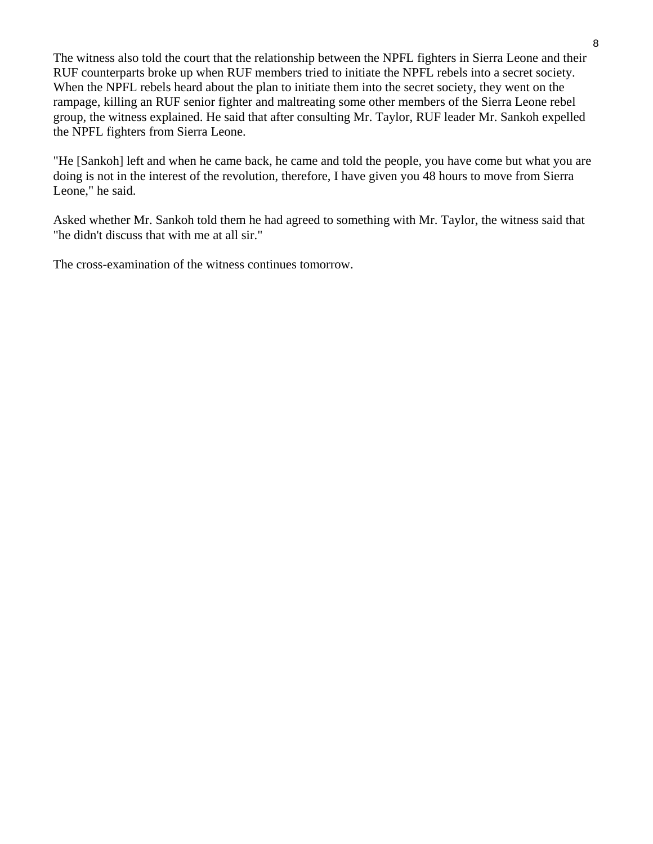The witness also told the court that the relationship between the NPFL fighters in Sierra Leone and their RUF counterparts broke up when RUF members tried to initiate the NPFL rebels into a secret society. When the NPFL rebels heard about the plan to initiate them into the secret society, they went on the rampage, killing an RUF senior fighter and maltreating some other members of the Sierra Leone rebel group, the witness explained. He said that after consulting Mr. Taylor, RUF leader Mr. Sankoh expelled the NPFL fighters from Sierra Leone.

"He [Sankoh] left and when he came back, he came and told the people, you have come but what you are doing is not in the interest of the revolution, therefore, I have given you 48 hours to move from Sierra Leone," he said.

Asked whether Mr. Sankoh told them he had agreed to something with Mr. Taylor, the witness said that "he didn't discuss that with me at all sir."

The cross-examination of the witness continues tomorrow.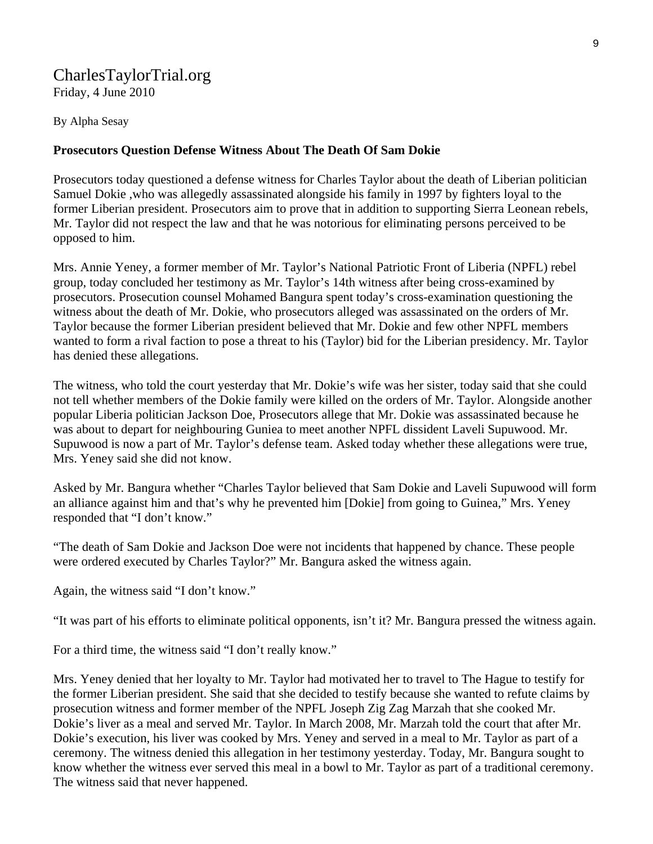### [CharlesTaylorTrial.org](http://www.charlestaylortrial.org/about/) Friday, 4 June 2010

By Alpha Sesay

### **Prosecutors Question Defense Witness About The Death Of Sam Dokie**

Prosecutors today questioned a defense witness for Charles Taylor about the death of Liberian politician Samuel Dokie ,who was allegedly assassinated alongside his family in 1997 by fighters loyal to the former Liberian president. Prosecutors aim to prove that in addition to supporting Sierra Leonean rebels, Mr. Taylor did not respect the law and that he was notorious for eliminating persons perceived to be opposed to him.

Mrs. Annie Yeney, a former member of Mr. Taylor's National Patriotic Front of Liberia (NPFL) rebel group, today concluded her testimony as Mr. Taylor's 14th witness after being cross-examined by prosecutors. Prosecution counsel Mohamed Bangura spent today's cross-examination questioning the witness about the death of Mr. Dokie, who prosecutors alleged was assassinated on the orders of Mr. Taylor because the former Liberian president believed that Mr. Dokie and few other NPFL members wanted to form a rival faction to pose a threat to his (Taylor) bid for the Liberian presidency. Mr. Taylor has denied these allegations.

The witness, who told the court yesterday that Mr. Dokie's wife was her sister, today said that she could not tell whether members of the Dokie family were killed on the orders of Mr. Taylor. Alongside another popular Liberia politician Jackson Doe, Prosecutors allege that Mr. Dokie was assassinated because he was about to depart for neighbouring Guniea to meet another NPFL dissident Laveli Supuwood. Mr. Supuwood is now a part of Mr. Taylor's defense team. Asked today whether these allegations were true, Mrs. Yeney said she did not know.

Asked by Mr. Bangura whether "Charles Taylor believed that Sam Dokie and Laveli Supuwood will form an alliance against him and that's why he prevented him [Dokie] from going to Guinea," Mrs. Yeney responded that "I don't know."

"The death of Sam Dokie and Jackson Doe were not incidents that happened by chance. These people were ordered executed by Charles Taylor?" Mr. Bangura asked the witness again.

Again, the witness said "I don't know."

"It was part of his efforts to eliminate political opponents, isn't it? Mr. Bangura pressed the witness again.

For a third time, the witness said "I don't really know."

Mrs. Yeney denied that her loyalty to Mr. Taylor had motivated her to travel to The Hague to testify for the former Liberian president. She said that she decided to testify because she wanted to refute claims by prosecution witness and former member of the NPFL Joseph Zig Zag Marzah that she cooked Mr. Dokie's liver as a meal and served Mr. Taylor. In March 2008, Mr. Marzah told the court that after Mr. Dokie's execution, his liver was cooked by Mrs. Yeney and served in a meal to Mr. Taylor as part of a ceremony. The witness denied this allegation in her testimony yesterday. Today, Mr. Bangura sought to know whether the witness ever served this meal in a bowl to Mr. Taylor as part of a traditional ceremony. The witness said that never happened.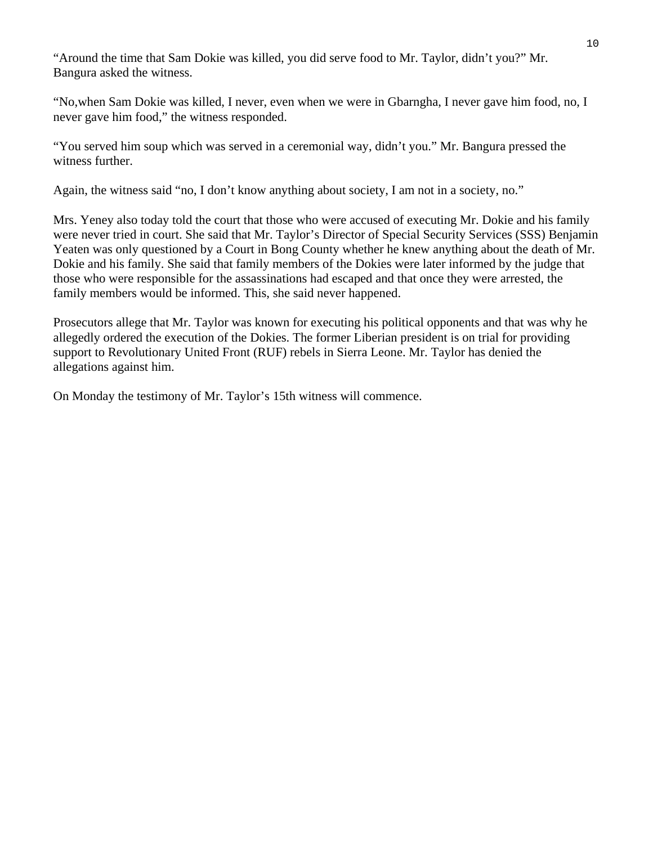"Around the time that Sam Dokie was killed, you did serve food to Mr. Taylor, didn't you?" Mr. Bangura asked the witness.

"No,when Sam Dokie was killed, I never, even when we were in Gbarngha, I never gave him food, no, I never gave him food," the witness responded.

"You served him soup which was served in a ceremonial way, didn't you." Mr. Bangura pressed the witness further.

Again, the witness said "no, I don't know anything about society, I am not in a society, no."

Mrs. Yeney also today told the court that those who were accused of executing Mr. Dokie and his family were never tried in court. She said that Mr. Taylor's Director of Special Security Services (SSS) Benjamin Yeaten was only questioned by a Court in Bong County whether he knew anything about the death of Mr. Dokie and his family. She said that family members of the Dokies were later informed by the judge that those who were responsible for the assassinations had escaped and that once they were arrested, the family members would be informed. This, she said never happened.

Prosecutors allege that Mr. Taylor was known for executing his political opponents and that was why he allegedly ordered the execution of the Dokies. The former Liberian president is on trial for providing support to Revolutionary United Front (RUF) rebels in Sierra Leone. Mr. Taylor has denied the allegations against him.

On Monday the testimony of Mr. Taylor's 15th witness will commence.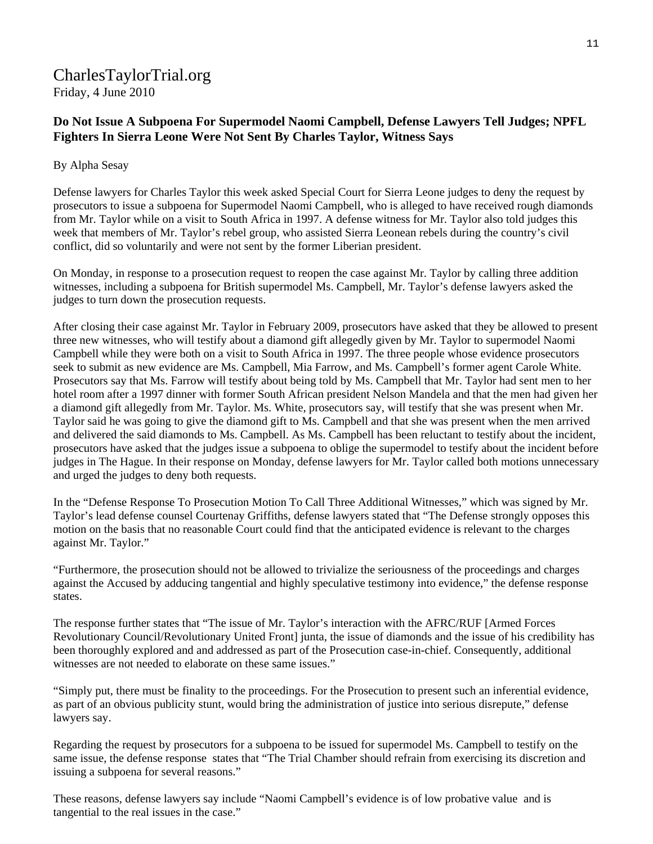### [CharlesTaylorTrial.org](http://www.charlestaylortrial.org/about/) Friday, 4 June 2010

### **Do Not Issue A Subpoena For Supermodel Naomi Campbell, Defense Lawyers Tell Judges; NPFL Fighters In Sierra Leone Were Not Sent By Charles Taylor, Witness Says**

#### By Alpha Sesay

Defense lawyers for Charles Taylor this week asked Special Court for Sierra Leone judges to deny the request by prosecutors to issue a subpoena for Supermodel Naomi Campbell, who is alleged to have received rough diamonds from Mr. Taylor while on a visit to South Africa in 1997. A defense witness for Mr. Taylor also told judges this week that members of Mr. Taylor's rebel group, who assisted Sierra Leonean rebels during the country's civil conflict, did so voluntarily and were not sent by the former Liberian president.

On Monday, in response to a prosecution request to reopen the case against Mr. Taylor by calling three addition witnesses, including a subpoena for British supermodel Ms. Campbell, Mr. Taylor's defense lawyers asked the judges to turn down the prosecution requests.

After closing their case against Mr. Taylor in February 2009, prosecutors have asked that they be allowed to present three new witnesses, who will testify about a diamond gift allegedly given by Mr. Taylor to supermodel Naomi Campbell while they were both on a visit to South Africa in 1997. The three people whose evidence prosecutors seek to submit as new evidence are Ms. Campbell, Mia Farrow, and Ms. Campbell's former agent Carole White. Prosecutors say that Ms. Farrow will testify about being told by Ms. Campbell that Mr. Taylor had sent men to her hotel room after a 1997 dinner with former South African president Nelson Mandela and that the men had given her a diamond gift allegedly from Mr. Taylor. Ms. White, prosecutors say, will testify that she was present when Mr. Taylor said he was going to give the diamond gift to Ms. Campbell and that she was present when the men arrived and delivered the said diamonds to Ms. Campbell. As Ms. Campbell has been reluctant to testify about the incident, prosecutors have asked that the judges issue a subpoena to oblige the supermodel to testify about the incident before judges in The Hague. In their response on Monday, defense lawyers for Mr. Taylor called both motions unnecessary and urged the judges to deny both requests.

In the "Defense Response To Prosecution Motion To Call Three Additional Witnesses," which was signed by Mr. Taylor's lead defense counsel Courtenay Griffiths, defense lawyers stated that "The Defense strongly opposes this motion on the basis that no reasonable Court could find that the anticipated evidence is relevant to the charges against Mr. Taylor."

"Furthermore, the prosecution should not be allowed to trivialize the seriousness of the proceedings and charges against the Accused by adducing tangential and highly speculative testimony into evidence," the defense response states.

The response further states that "The issue of Mr. Taylor's interaction with the AFRC/RUF [Armed Forces Revolutionary Council/Revolutionary United Front] junta, the issue of diamonds and the issue of his credibility has been thoroughly explored and and addressed as part of the Prosecution case-in-chief. Consequently, additional witnesses are not needed to elaborate on these same issues."

"Simply put, there must be finality to the proceedings. For the Prosecution to present such an inferential evidence, as part of an obvious publicity stunt, would bring the administration of justice into serious disrepute," defense lawyers say.

Regarding the request by prosecutors for a subpoena to be issued for supermodel Ms. Campbell to testify on the same issue, the defense response states that "The Trial Chamber should refrain from exercising its discretion and issuing a subpoena for several reasons."

These reasons, defense lawyers say include "Naomi Campbell's evidence is of low probative value and is tangential to the real issues in the case."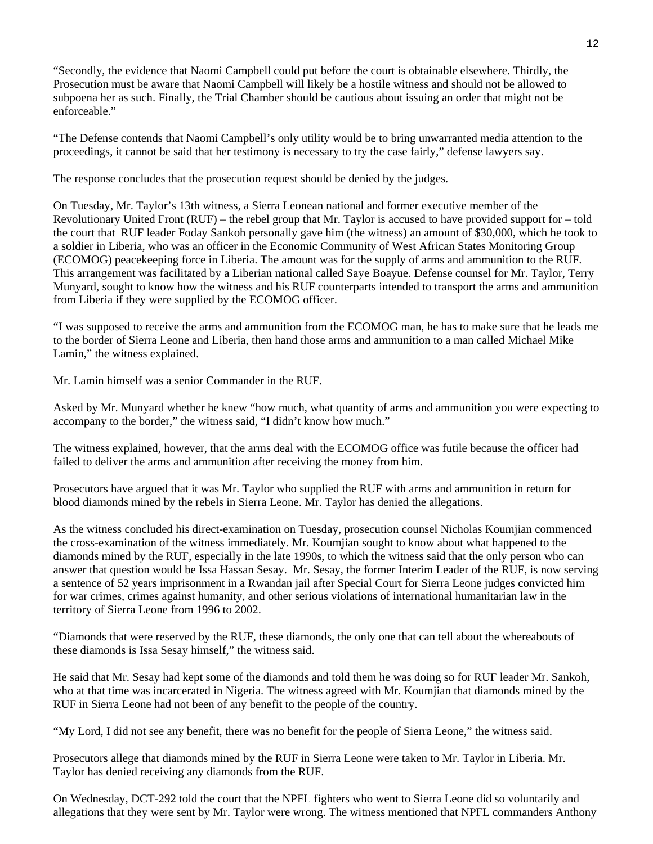"Secondly, the evidence that Naomi Campbell could put before the court is obtainable elsewhere. Thirdly, the Prosecution must be aware that Naomi Campbell will likely be a hostile witness and should not be allowed to subpoena her as such. Finally, the Trial Chamber should be cautious about issuing an order that might not be enforceable."

"The Defense contends that Naomi Campbell's only utility would be to bring unwarranted media attention to the proceedings, it cannot be said that her testimony is necessary to try the case fairly," defense lawyers say.

The response concludes that the prosecution request should be denied by the judges.

On Tuesday, Mr. Taylor's 13th witness, a Sierra Leonean national and former executive member of the Revolutionary United Front (RUF) – the rebel group that Mr. Taylor is accused to have provided support for – told the court that RUF leader Foday Sankoh personally gave him (the witness) an amount of \$30,000, which he took to a soldier in Liberia, who was an officer in the Economic Community of West African States Monitoring Group (ECOMOG) peacekeeping force in Liberia. The amount was for the supply of arms and ammunition to the RUF. This arrangement was facilitated by a Liberian national called Saye Boayue. Defense counsel for Mr. Taylor, Terry Munyard, sought to know how the witness and his RUF counterparts intended to transport the arms and ammunition from Liberia if they were supplied by the ECOMOG officer.

"I was supposed to receive the arms and ammunition from the ECOMOG man, he has to make sure that he leads me to the border of Sierra Leone and Liberia, then hand those arms and ammunition to a man called Michael Mike Lamin," the witness explained.

Mr. Lamin himself was a senior Commander in the RUF.

Asked by Mr. Munyard whether he knew "how much, what quantity of arms and ammunition you were expecting to accompany to the border," the witness said, "I didn't know how much."

The witness explained, however, that the arms deal with the ECOMOG office was futile because the officer had failed to deliver the arms and ammunition after receiving the money from him.

Prosecutors have argued that it was Mr. Taylor who supplied the RUF with arms and ammunition in return for blood diamonds mined by the rebels in Sierra Leone. Mr. Taylor has denied the allegations.

As the witness concluded his direct-examination on Tuesday, prosecution counsel Nicholas Koumjian commenced the cross-examination of the witness immediately. Mr. Koumjian sought to know about what happened to the diamonds mined by the RUF, especially in the late 1990s, to which the witness said that the only person who can answer that question would be Issa Hassan Sesay. Mr. Sesay, the former Interim Leader of the RUF, is now serving a sentence of 52 years imprisonment in a Rwandan jail after Special Court for Sierra Leone judges convicted him for war crimes, crimes against humanity, and other serious violations of international humanitarian law in the territory of Sierra Leone from 1996 to 2002.

"Diamonds that were reserved by the RUF, these diamonds, the only one that can tell about the whereabouts of these diamonds is Issa Sesay himself," the witness said.

He said that Mr. Sesay had kept some of the diamonds and told them he was doing so for RUF leader Mr. Sankoh, who at that time was incarcerated in Nigeria. The witness agreed with Mr. Koumjian that diamonds mined by the RUF in Sierra Leone had not been of any benefit to the people of the country.

"My Lord, I did not see any benefit, there was no benefit for the people of Sierra Leone," the witness said.

Prosecutors allege that diamonds mined by the RUF in Sierra Leone were taken to Mr. Taylor in Liberia. Mr. Taylor has denied receiving any diamonds from the RUF.

On Wednesday, DCT-292 told the court that the NPFL fighters who went to Sierra Leone did so voluntarily and allegations that they were sent by Mr. Taylor were wrong. The witness mentioned that NPFL commanders Anthony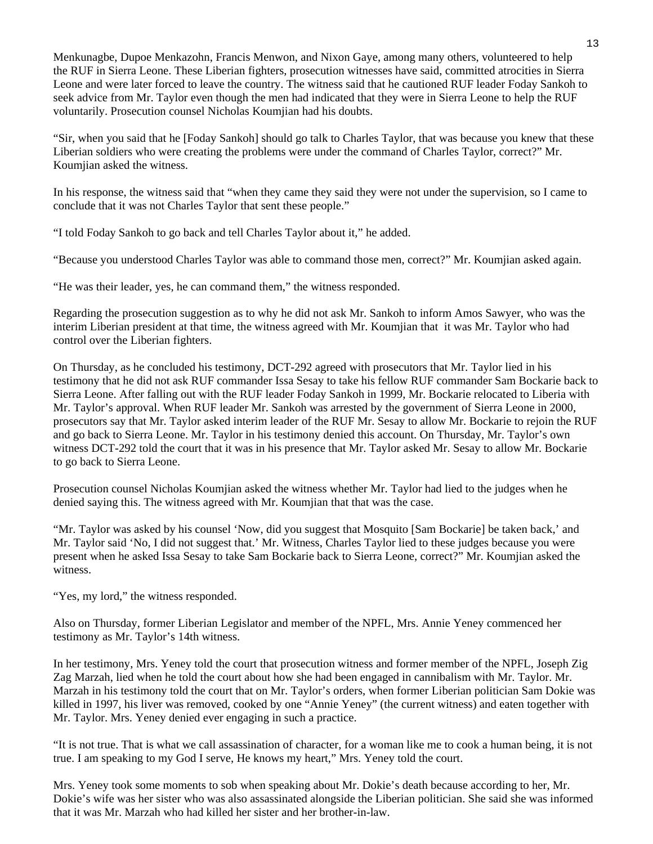Menkunagbe, Dupoe Menkazohn, Francis Menwon, and Nixon Gaye, among many others, volunteered to help the RUF in Sierra Leone. These Liberian fighters, prosecution witnesses have said, committed atrocities in Sierra Leone and were later forced to leave the country. The witness said that he cautioned RUF leader Foday Sankoh to seek advice from Mr. Taylor even though the men had indicated that they were in Sierra Leone to help the RUF voluntarily. Prosecution counsel Nicholas Koumjian had his doubts.

"Sir, when you said that he [Foday Sankoh] should go talk to Charles Taylor, that was because you knew that these Liberian soldiers who were creating the problems were under the command of Charles Taylor, correct?" Mr. Koumjian asked the witness.

In his response, the witness said that "when they came they said they were not under the supervision, so I came to conclude that it was not Charles Taylor that sent these people."

"I told Foday Sankoh to go back and tell Charles Taylor about it," he added.

"Because you understood Charles Taylor was able to command those men, correct?" Mr. Koumjian asked again.

"He was their leader, yes, he can command them," the witness responded.

Regarding the prosecution suggestion as to why he did not ask Mr. Sankoh to inform Amos Sawyer, who was the interim Liberian president at that time, the witness agreed with Mr. Koumjian that it was Mr. Taylor who had control over the Liberian fighters.

On Thursday, as he concluded his testimony, DCT-292 agreed with prosecutors that Mr. Taylor lied in his testimony that he did not ask RUF commander Issa Sesay to take his fellow RUF commander Sam Bockarie back to Sierra Leone. After falling out with the RUF leader Foday Sankoh in 1999, Mr. Bockarie relocated to Liberia with Mr. Taylor's approval. When RUF leader Mr. Sankoh was arrested by the government of Sierra Leone in 2000, prosecutors say that Mr. Taylor asked interim leader of the RUF Mr. Sesay to allow Mr. Bockarie to rejoin the RUF and go back to Sierra Leone. Mr. Taylor in his testimony denied this account. On Thursday, Mr. Taylor's own witness DCT-292 told the court that it was in his presence that Mr. Taylor asked Mr. Sesay to allow Mr. Bockarie to go back to Sierra Leone.

Prosecution counsel Nicholas Koumjian asked the witness whether Mr. Taylor had lied to the judges when he denied saying this. The witness agreed with Mr. Koumjian that that was the case.

"Mr. Taylor was asked by his counsel 'Now, did you suggest that Mosquito [Sam Bockarie] be taken back,' and Mr. Taylor said 'No, I did not suggest that.' Mr. Witness, Charles Taylor lied to these judges because you were present when he asked Issa Sesay to take Sam Bockarie back to Sierra Leone, correct?" Mr. Koumjian asked the witness.

"Yes, my lord," the witness responded.

Also on Thursday, former Liberian Legislator and member of the NPFL, Mrs. Annie Yeney commenced her testimony as Mr. Taylor's 14th witness.

In her testimony, Mrs. Yeney told the court that prosecution witness and former member of the NPFL, Joseph Zig Zag Marzah, lied when he told the court about how she had been engaged in cannibalism with Mr. Taylor. Mr. Marzah in his testimony told the court that on Mr. Taylor's orders, when former Liberian politician Sam Dokie was killed in 1997, his liver was removed, cooked by one "Annie Yeney" (the current witness) and eaten together with Mr. Taylor. Mrs. Yeney denied ever engaging in such a practice.

"It is not true. That is what we call assassination of character, for a woman like me to cook a human being, it is not true. I am speaking to my God I serve, He knows my heart," Mrs. Yeney told the court.

Mrs. Yeney took some moments to sob when speaking about Mr. Dokie's death because according to her, Mr. Dokie's wife was her sister who was also assassinated alongside the Liberian politician. She said she was informed that it was Mr. Marzah who had killed her sister and her brother-in-law.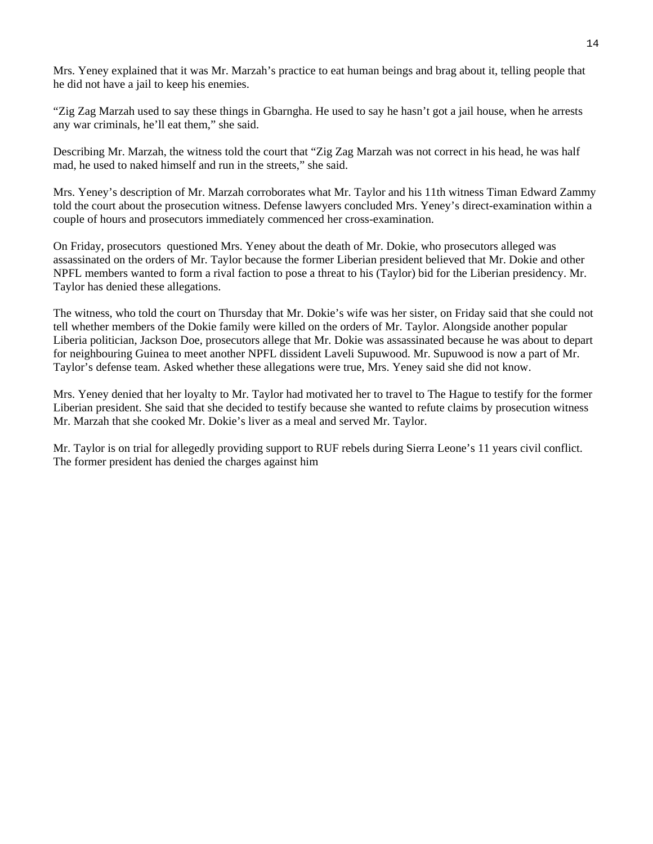Mrs. Yeney explained that it was Mr. Marzah's practice to eat human beings and brag about it, telling people that he did not have a jail to keep his enemies.

"Zig Zag Marzah used to say these things in Gbarngha. He used to say he hasn't got a jail house, when he arrests any war criminals, he'll eat them," she said.

Describing Mr. Marzah, the witness told the court that "Zig Zag Marzah was not correct in his head, he was half mad, he used to naked himself and run in the streets," she said.

Mrs. Yeney's description of Mr. Marzah corroborates what Mr. Taylor and his 11th witness Timan Edward Zammy told the court about the prosecution witness. Defense lawyers concluded Mrs. Yeney's direct-examination within a couple of hours and prosecutors immediately commenced her cross-examination.

On Friday, prosecutors questioned Mrs. Yeney about the death of Mr. Dokie, who prosecutors alleged was assassinated on the orders of Mr. Taylor because the former Liberian president believed that Mr. Dokie and other NPFL members wanted to form a rival faction to pose a threat to his (Taylor) bid for the Liberian presidency. Mr. Taylor has denied these allegations.

The witness, who told the court on Thursday that Mr. Dokie's wife was her sister, on Friday said that she could not tell whether members of the Dokie family were killed on the orders of Mr. Taylor. Alongside another popular Liberia politician, Jackson Doe, prosecutors allege that Mr. Dokie was assassinated because he was about to depart for neighbouring Guinea to meet another NPFL dissident Laveli Supuwood. Mr. Supuwood is now a part of Mr. Taylor's defense team. Asked whether these allegations were true, Mrs. Yeney said she did not know.

Mrs. Yeney denied that her loyalty to Mr. Taylor had motivated her to travel to The Hague to testify for the former Liberian president. She said that she decided to testify because she wanted to refute claims by prosecution witness Mr. Marzah that she cooked Mr. Dokie's liver as a meal and served Mr. Taylor.

Mr. Taylor is on trial for allegedly providing support to RUF rebels during Sierra Leone's 11 years civil conflict. The former president has denied the charges against him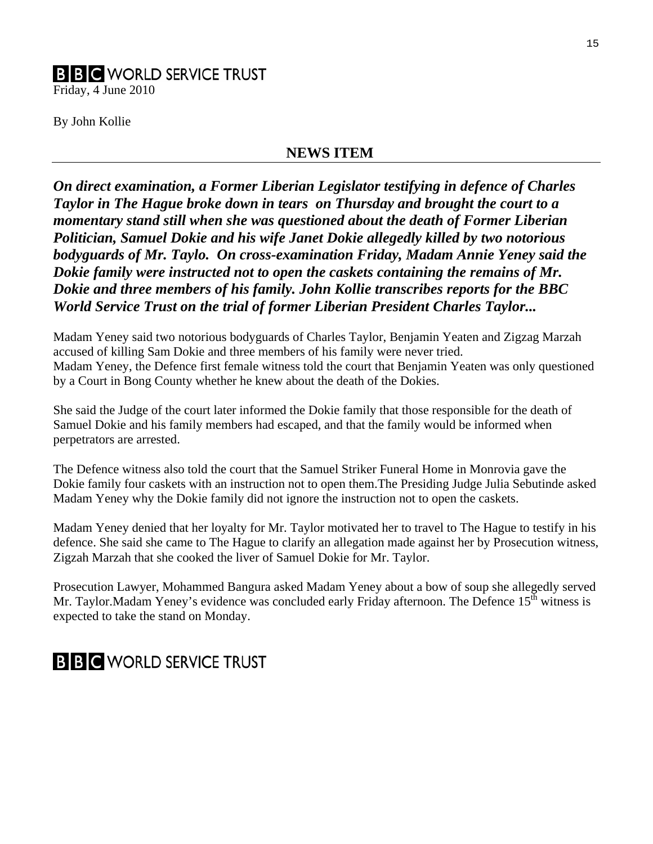### **B B C** WORLD SERVICE TRUST

Friday, 4 June 2010

By John Kollie

### **NEWS ITEM**

*On direct examination, a Former Liberian Legislator testifying in defence of Charles Taylor in The Hague broke down in tears on Thursday and brought the court to a momentary stand still when she was questioned about the death of Former Liberian Politician, Samuel Dokie and his wife Janet Dokie allegedly killed by two notorious bodyguards of Mr. Taylo. On cross-examination Friday, Madam Annie Yeney said the Dokie family were instructed not to open the caskets containing the remains of Mr. Dokie and three members of his family. John Kollie transcribes reports for the BBC World Service Trust on the trial of former Liberian President Charles Taylor...* 

Madam Yeney said two notorious bodyguards of Charles Taylor, Benjamin Yeaten and Zigzag Marzah accused of killing Sam Dokie and three members of his family were never tried. Madam Yeney, the Defence first female witness told the court that Benjamin Yeaten was only questioned by a Court in Bong County whether he knew about the death of the Dokies.

She said the Judge of the court later informed the Dokie family that those responsible for the death of Samuel Dokie and his family members had escaped, and that the family would be informed when perpetrators are arrested.

The Defence witness also told the court that the Samuel Striker Funeral Home in Monrovia gave the Dokie family four caskets with an instruction not to open them.The Presiding Judge Julia Sebutinde asked Madam Yeney why the Dokie family did not ignore the instruction not to open the caskets.

Madam Yeney denied that her loyalty for Mr. Taylor motivated her to travel to The Hague to testify in his defence. She said she came to The Hague to clarify an allegation made against her by Prosecution witness, Zigzah Marzah that she cooked the liver of Samuel Dokie for Mr. Taylor.

Prosecution Lawyer, Mohammed Bangura asked Madam Yeney about a bow of soup she allegedly served Mr. Taylor.Madam Yeney's evidence was concluded early Friday afternoon. The Defence  $15<sup>th</sup>$  witness is expected to take the stand on Monday.

## **B B C** WORLD SERVICE TRUST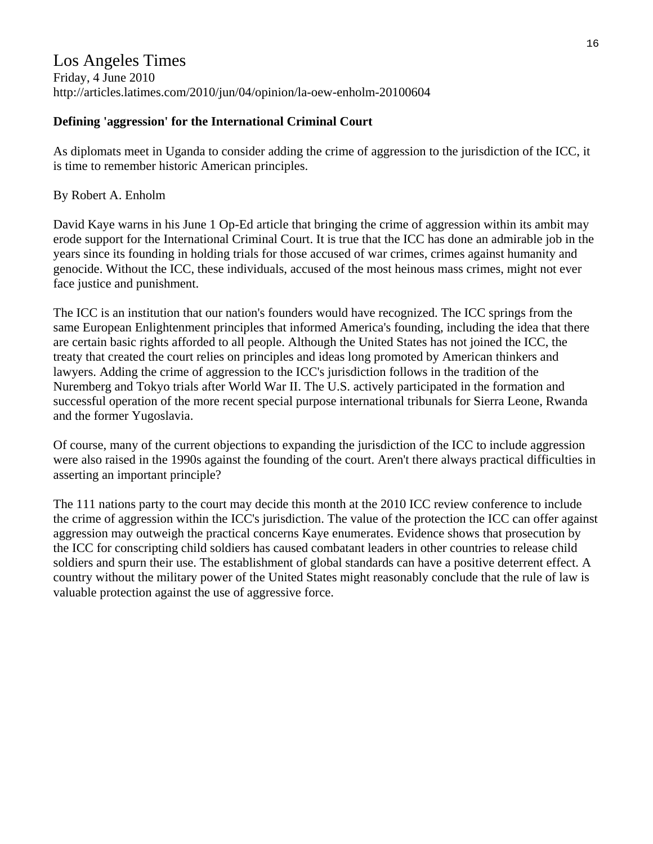### Los Angeles Times Friday, 4 June 2010 http://articles.latimes.com/2010/jun/04/opinion/la-oew-enholm-20100604

### **Defining 'aggression' for the International Criminal Court**

As diplomats meet in Uganda to consider adding the crime of aggression to the jurisdiction of the ICC, it is time to remember historic American principles.

### By Robert A. Enholm

David Kaye warns in his June 1 Op-Ed article that bringing the crime of aggression within its ambit may erode support for the International Criminal Court. It is true that the ICC has done an admirable job in the years since its founding in holding trials for those accused of war crimes, crimes against humanity and genocide. Without the ICC, these individuals, accused of the most heinous mass crimes, might not ever face justice and punishment.

The ICC is an institution that our nation's founders would have recognized. The ICC springs from the same European Enlightenment principles that informed America's founding, including the idea that there are certain basic rights afforded to all people. Although the United States has not joined the ICC, the treaty that created the court relies on principles and ideas long promoted by American thinkers and lawyers. Adding the crime of aggression to the ICC's jurisdiction follows in the tradition of the Nuremberg and Tokyo trials after World War II. The U.S. actively participated in the formation and successful operation of the more recent special purpose international tribunals for Sierra Leone, Rwanda and the former Yugoslavia.

Of course, many of the current objections to expanding the jurisdiction of the ICC to include aggression were also raised in the 1990s against the founding of the court. Aren't there always practical difficulties in asserting an important principle?

The 111 nations party to the court may decide this month at the 2010 ICC review conference to include the crime of aggression within the ICC's jurisdiction. The value of the protection the ICC can offer against aggression may outweigh the practical concerns Kaye enumerates. Evidence shows that prosecution by the ICC for conscripting child soldiers has caused combatant leaders in other countries to release child soldiers and spurn their use. The establishment of global standards can have a positive deterrent effect. A country without the military power of the United States might reasonably conclude that the rule of law is valuable protection against the use of aggressive force.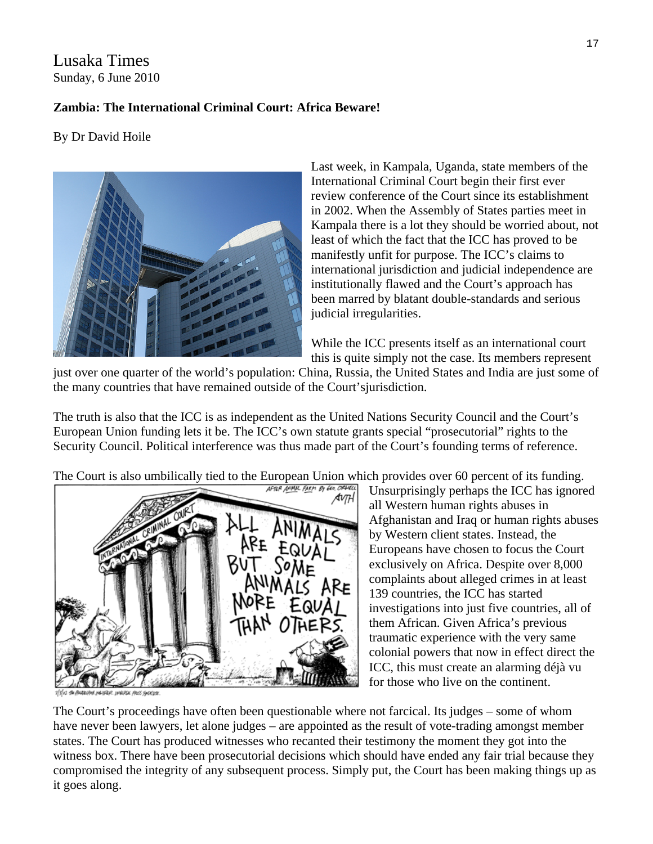### Lusaka Times Sunday, 6 June 2010

### **Zambia: The International Criminal Court: Africa Beware!**

By Dr David Hoile



Kampala there is a lot they should be worried about, not Last week, in Kampala, Uganda, state members of the International Criminal Court begin their first ever review conference of the Court since its establishment in 2002. When the Assembly of States parties meet in least of which the fact that the ICC has proved to be manifestly unfit for purpose. The ICC's claims to international jurisdiction and judicial independence are institutionally flawed and the Court's approach has been marred by blatant double-standards and serious judicial irregularities.

While the ICC presents itself as an international court this is quite simply not the case. Its members represent

just over one quarter of the world's population: China, Russia, the United States and India are just some of the many countries that have remained outside of the Court'sjurisdiction.

The truth is also that the ICC is as independent as the United Nations Security Council and the Court's European Union funding lets it be. The ICC's own statute grants special "prosecutorial" rights to the Security Council. Political interference was thus made part of the Court's founding terms of reference.

[The Court is also umbilically tied to the European Union whi](http://www.lusakatimes.com/wp-content/uploads/2010/06/auth.animalfarm.gif)ch provides over 60 percent of its funding.



Afghanistan and Iraq or human rights abuses Unsurprisingly perhaps the ICC has ignored all Western human rights abuses in by Western client states. Instead, the Europeans have chosen to focus the Court exclusively on Africa. Despite over 8,000 complaints about alleged crimes in at least 139 countries, the ICC has started investigations into just five countries, all of them African. Given Africa's previous traumatic experience with the very same colonial powers that now in effect direct the ICC, this must create an alarming déjà vu for those who live on the continent.

M MARR IMBA AUS GROU

The Court's proceedings have often been questionable where not farcical. Its judges – some of whom have never been lawyers, let alone judges – are appointed as the result of vote-trading amongst member states. The Court has produced witnesses who recanted their testimony the moment they got into the witness box. There have been prosecutorial decisions which should have ended any fair trial because they compromised the integrity of any subsequent process. Simply put, the Court has been making things up as it goes along.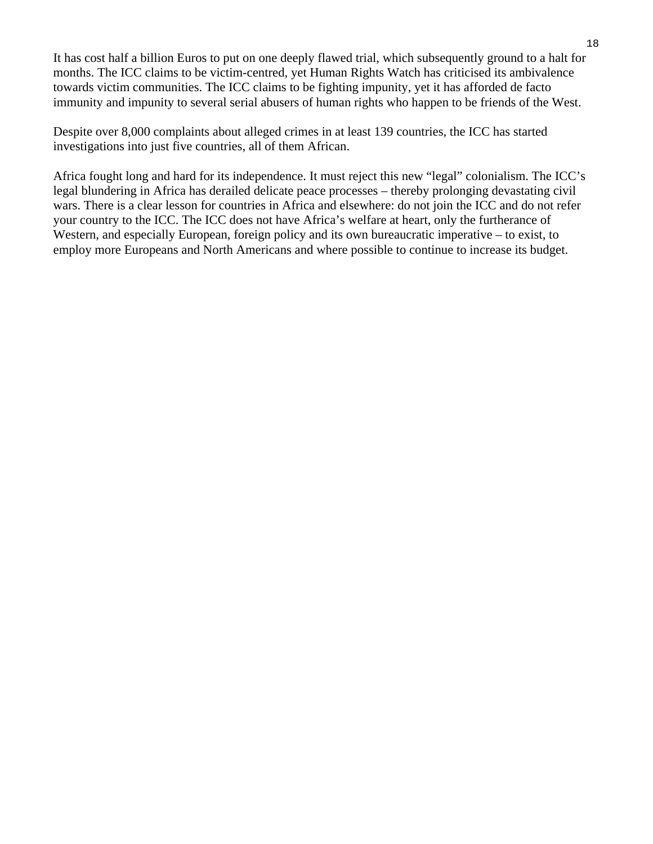It has cost half a billion Euros to put on one deeply flawed trial, which subsequently ground to a halt for months. The ICC claims to be victim-centred, yet Human Rights Watch has criticised its ambivalence towards victim communities. The ICC claims to be fighting impunity, yet it has afforded de facto immunity and impunity to several serial abusers of human rights who happen to be friends of the West.

Despite over 8,000 complaints about alleged crimes in at least 139 countries, the ICC has started investigations into just five countries, all of them African.

Africa fought long and hard for its independence. It must reject this new "legal" colonialism. The ICC's legal blundering in Africa has derailed delicate peace processes – thereby prolonging devastating civil wars. There is a clear lesson for countries in Africa and elsewhere: do not join the ICC and do not refer your country to the ICC. The ICC does not have Africa's welfare at heart, only the furtherance of Western, and especially European, foreign policy and its own bureaucratic imperative – to exist, to employ more Europeans and North Americans and where possible to continue to increase its budget.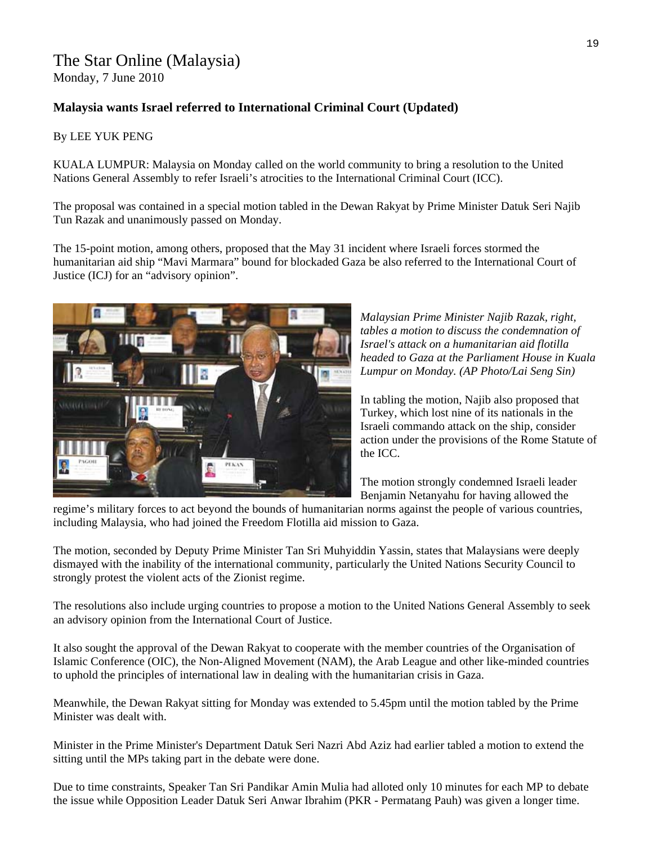### The Star Online (Malaysia)

Monday, 7 June 2010

### **Malaysia wants Israel referred to International Criminal Court (Updated)**

### By LEE YUK PENG

KUALA LUMPUR: Malaysia on Monday called on the world community to bring a resolution to the United Nations General Assembly to refer Israeli's atrocities to the International Criminal Court (ICC).

The proposal was contained in a special motion tabled in the Dewan Rakyat by Prime Minister Datuk Seri Najib Tun Razak and unanimously passed on Monday.

The 15-point motion, among others, proposed that the May 31 incident where Israeli forces stormed the humanitarian aid ship "Mavi Marmara" bound for blockaded Gaza be also referred to the International Court of Justice (ICJ) for an "advisory opinion".



*Malaysian Prime Minister Najib Razak, right, tables a motion to discuss the condemnation of Israel's attack on a humanitarian aid flotilla headed to Gaza at the Parliament House in Kuala Lumpur on Monday. (AP Photo/Lai Seng Sin)* 

In tabling the motion, Najib also proposed that Turkey, which lost nine of its nationals in the Israeli commando attack on the ship, consider action under the provisions of the Rome Statute of the ICC.

The motion strongly condemned Israeli leader Benjamin Netanyahu for having allowed the

regime's military forces to act beyond the bounds of humanitarian norms against the people of various countries, including Malaysia, who had joined the Freedom Flotilla aid mission to Gaza.

The motion, seconded by Deputy Prime Minister Tan Sri Muhyiddin Yassin, states that Malaysians were deeply dismayed with the inability of the international community, particularly the United Nations Security Council to strongly protest the violent acts of the Zionist regime.

The resolutions also include urging countries to propose a motion to the United Nations General Assembly to seek an advisory opinion from the International Court of Justice.

It also sought the approval of the Dewan Rakyat to cooperate with the member countries of the Organisation of Islamic Conference (OIC), the Non-Aligned Movement (NAM), the Arab League and other like-minded countries to uphold the principles of international law in dealing with the humanitarian crisis in Gaza.

Meanwhile, the Dewan Rakyat sitting for Monday was extended to 5.45pm until the motion tabled by the Prime Minister was dealt with.

Minister in the Prime Minister's Department Datuk Seri Nazri Abd Aziz had earlier tabled a motion to extend the sitting until the MPs taking part in the debate were done.

Due to time constraints, Speaker Tan Sri Pandikar Amin Mulia had alloted only 10 minutes for each MP to debate the issue while Opposition Leader Datuk Seri Anwar Ibrahim (PKR - Permatang Pauh) was given a longer time.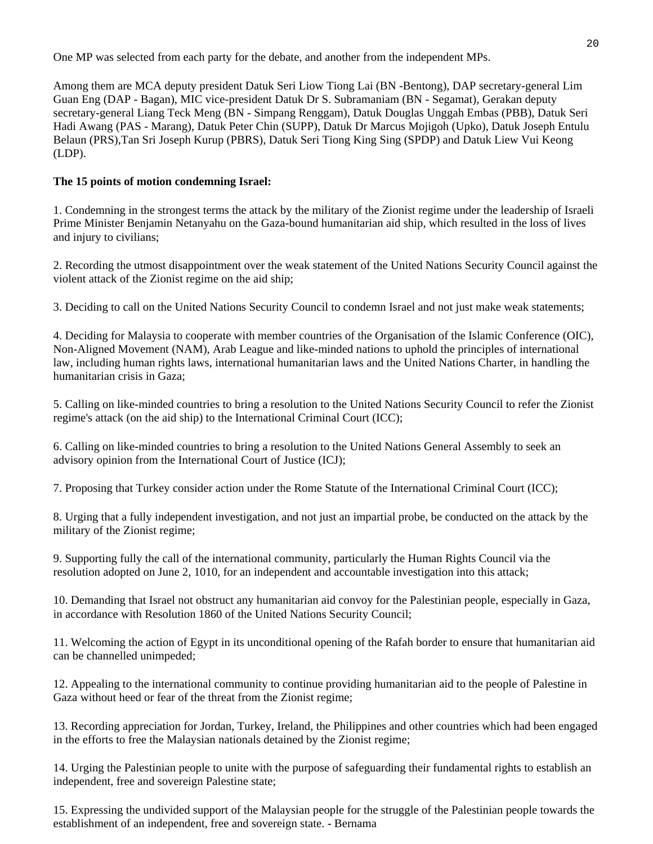One MP was selected from each party for the debate, and another from the independent MPs.

Among them are MCA deputy president Datuk Seri Liow Tiong Lai (BN -Bentong), DAP secretary-general Lim Guan Eng (DAP - Bagan), MIC vice-president Datuk Dr S. Subramaniam (BN - Segamat), Gerakan deputy secretary-general Liang Teck Meng (BN - Simpang Renggam), Datuk Douglas Unggah Embas (PBB), Datuk Seri Hadi Awang (PAS - Marang), Datuk Peter Chin (SUPP), Datuk Dr Marcus Mojigoh (Upko), Datuk Joseph Entulu Belaun (PRS),Tan Sri Joseph Kurup (PBRS), Datuk Seri Tiong King Sing (SPDP) and Datuk Liew Vui Keong (LDP).

### **The 15 points of motion condemning Israel:**

1. Condemning in the strongest terms the attack by the military of the Zionist regime under the leadership of Israeli Prime Minister Benjamin Netanyahu on the Gaza-bound humanitarian aid ship, which resulted in the loss of lives and injury to civilians;

2. Recording the utmost disappointment over the weak statement of the United Nations Security Council against the violent attack of the Zionist regime on the aid ship;

3. Deciding to call on the United Nations Security Council to condemn Israel and not just make weak statements;

4. Deciding for Malaysia to cooperate with member countries of the Organisation of the Islamic Conference (OIC), Non-Aligned Movement (NAM), Arab League and like-minded nations to uphold the principles of international law, including human rights laws, international humanitarian laws and the United Nations Charter, in handling the humanitarian crisis in Gaza;

5. Calling on like-minded countries to bring a resolution to the United Nations Security Council to refer the Zionist regime's attack (on the aid ship) to the International Criminal Court (ICC);

6. Calling on like-minded countries to bring a resolution to the United Nations General Assembly to seek an advisory opinion from the International Court of Justice (ICJ);

7. Proposing that Turkey consider action under the Rome Statute of the International Criminal Court (ICC);

8. Urging that a fully independent investigation, and not just an impartial probe, be conducted on the attack by the military of the Zionist regime;

9. Supporting fully the call of the international community, particularly the Human Rights Council via the resolution adopted on June 2, 1010, for an independent and accountable investigation into this attack;

10. Demanding that Israel not obstruct any humanitarian aid convoy for the Palestinian people, especially in Gaza, in accordance with Resolution 1860 of the United Nations Security Council;

11. Welcoming the action of Egypt in its unconditional opening of the Rafah border to ensure that humanitarian aid can be channelled unimpeded;

12. Appealing to the international community to continue providing humanitarian aid to the people of Palestine in Gaza without heed or fear of the threat from the Zionist regime;

13. Recording appreciation for Jordan, Turkey, Ireland, the Philippines and other countries which had been engaged in the efforts to free the Malaysian nationals detained by the Zionist regime;

14. Urging the Palestinian people to unite with the purpose of safeguarding their fundamental rights to establish an independent, free and sovereign Palestine state;

15. Expressing the undivided support of the Malaysian people for the struggle of the Palestinian people towards the establishment of an independent, free and sovereign state. - Bernama